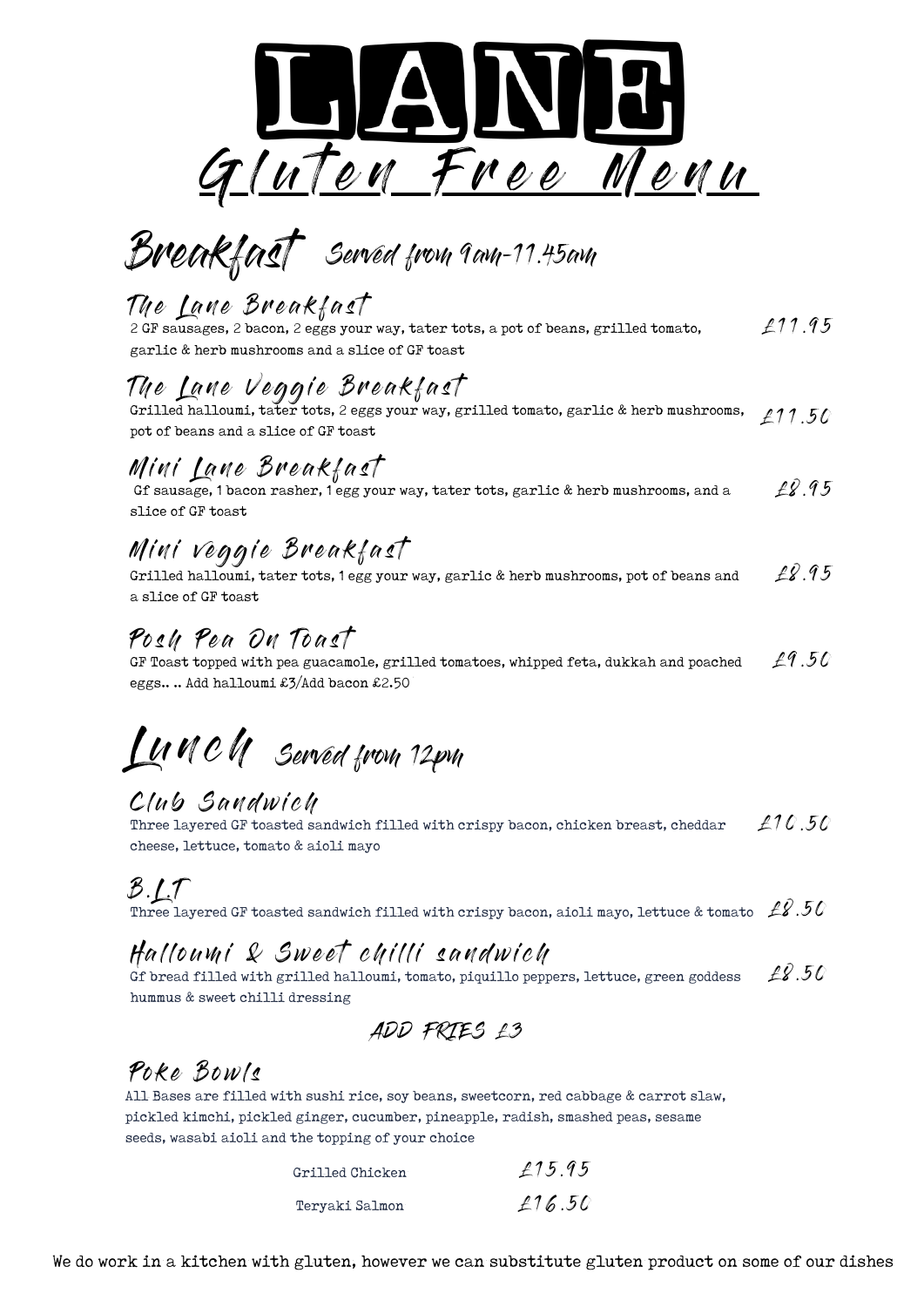

Breakfast Served from 9am-11.45am

# The Lane Breakfast

 $£11.95$ 2 GF sausages, 2 bacon, 2 eggs your way, tater tots, a pot of beans, grilled tomato, garlic & herb mushrooms and a slice of GF toast

# The Lane Veggle Dreakfast

 $£11.50$ Grilled halloumi, tater tots, 2 eggs your way, grilled tomato, garlic & herb mushrooms, pot of beans and a slice of GF toast

### Mini Lane Breakfast

 $28.95$ Gf sausage, 1 bacon rasher, 1 egg your way, tater tots, garlic & herb mushrooms, and a slice of GF toast

## Mini veggie Breakfast

 $\cancel{2}.95$ Grilled halloumi, tater tots, 1 egg your way, garlic & herb mushrooms, pot of beans and a slice of GF toast

#### Posh Pea On Toast

 $£9.50$ GF Toast topped with pea guacamole, grilled tomatoes, whipped feta, dukkah and poached eggs.. .. Add halloumi £3/Add bacon £2.50

# $L$ *u*  $C$  $N$  *Served from 12pm*

#### Club Sandwich

Three layered GF toasted sandwich filled with crispy bacon, chicken breast, cheddar  $\ \ \ \pounds 10$  .  $50$ cheese, lettuce, tomato & aioli mayo

# $B.1.7$

Three layered GF toasted sandwich filled with crispy bacon, aioli mayo, lettuce & tomato  $~\not\equiv 2$  .50

#### Halloumi & Sweet chilli sandwich

 $\pounds$ 8.50 Gf bread filled with grilled halloumi, tomato, piquillo peppers, lettuce, green goddess hummus & sweet chilli dressing

ADD FRIES £3

# Poke Bowls

All Bases are filled with sushi rice, soy beans, sweetcorn, red cabbage & carrot slaw, pickled kimchi, pickled ginger, cucumber, pineapple, radish, smashed peas, sesame seeds, wasabi aioli and the topping of your choice

| Grilled Chicken | £15.95 |
|-----------------|--------|
| Teryaki Salmon  | £16.50 |

We do work in a kitchen with gluten, however we can substitute gluten product on some of our dishes